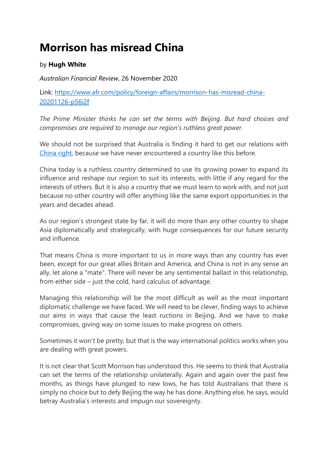## **Morrison has misread China**

## by **Hugh White**

*Australian Financial Review*, 26 November 2020

Link: [https://www.afr.com/policy/foreign-affairs/morrison-has-misread-china-](https://www.afr.com/policy/foreign-affairs/morrison-has-misread-china-20201126-p56i2f)[20201126-p56i2f](https://www.afr.com/policy/foreign-affairs/morrison-has-misread-china-20201126-p56i2f)

*The Prime Minister thinks he can set the terms with Beijing. But hard choices and compromises are required to manage our region's ruthless great power.*

We should not be surprised that Australia is finding it hard to get our relations with [China right,](https://www.afr.com/link/follow-20180101-p56hav) because we have never encountered a country like this before.

China today is a ruthless country determined to use its growing power to expand its influence and reshape our region to suit its interests, with little if any regard for the interests of others. But it is also a country that we must learn to work with, and not just because no other country will offer anything like the same export opportunities in the years and decades ahead.

As our region's strongest state by far, it will do more than any other country to shape Asia diplomatically and strategically, with huge consequences for our future security and influence.

That means China is more important to us in more ways than any country has ever been, except for our great allies Britain and America, and China is not in any sense an ally, let alone a "mate". There will never be any sentimental ballast in this relationship, from either side – just the cold, hard calculus of advantage.

Managing this relationship will be the most difficult as well as the most important diplomatic challenge we have faced. We will need to be clever, finding ways to achieve our aims in ways that cause the least ructions in Beijing. And we have to make compromises, giving way on some issues to make progress on others.

Sometimes it won't be pretty, but that is the way international politics works when you are dealing with great powers.

It is not clear that Scott Morrison has understood this. He seems to think that Australia can set the terms of the relationship unilaterally. Again and again over the past few months, as things have plunged to new lows, he has told Australians that there is simply no choice but to defy Beijing the way he has done. Anything else, he says, would betray Australia's interests and impugn our sovereignty.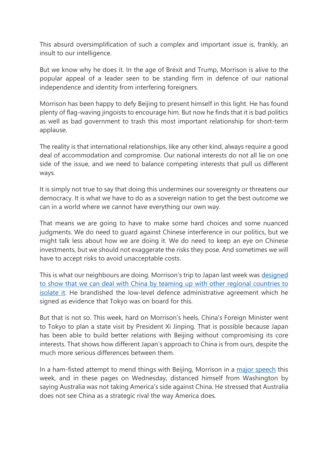This absurd oversimplification of such a complex and important issue is, frankly, an insult to our intelligence.

But we know why he does it. In the age of Brexit and Trump, Morrison is alive to the popular appeal of a leader seen to be standing firm in defence of our national independence and identity from interfering foreigners.

Morrison has been happy to defy Beijing to present himself in this light. He has found plenty of flag-waving jingoists to encourage him. But now he finds that it is bad politics as well as bad government to trash this most important relationship for short-term applause.

The reality is that international relationships, like any other kind, always require a good deal of accommodation and compromise. Our national interests do not all lie on one side of the issue, and we need to balance competing interests that pull us different ways.

It is simply not true to say that doing this undermines our sovereignty or threatens our democracy. It is what we have to do as a sovereign nation to get the best outcome we can in a world where we cannot have everything our own way.

That means we are going to have to make some hard choices and some nuanced judgments. We do need to guard against Chinese interference in our politics, but we might talk less about how we are doing it. We do need to keep an eye on Chinese investments, but we should not exaggerate the risks they pose. And sometimes we will have to accept risks to avoid unacceptable costs.

This is what our neighbours are doing. Morrison's trip to Japan last week was [designed](https://www.afr.com/link/follow-20180101-p56gta)  [to show that we can deal with China by teaming up with other regional countries to](https://www.afr.com/link/follow-20180101-p56gta)  [isolate it.](https://www.afr.com/link/follow-20180101-p56gta) He brandished the low-level defence administrative agreement which he signed as evidence that Tokyo was on board for this.

But that is not so. This week, hard on Morrison's heels, China's Foreign Minister went to Tokyo to plan a state visit by President Xi Jinping. That is possible because Japan has been able to build better relations with Beijing without compromising its core interests. That shows how different Japan's approach to China is from ours, despite the much more serious differences between them.

In a ham-fisted attempt to mend things with Beijing, Morrison in a [major speech](https://www.afr.com/link/follow-20180101-p56gxv) this week, and in these pages on Wednesday, distanced himself from Washington by saying Australia was not taking America's side against China. He stressed that Australia does not see China as a strategic rival the way America does.